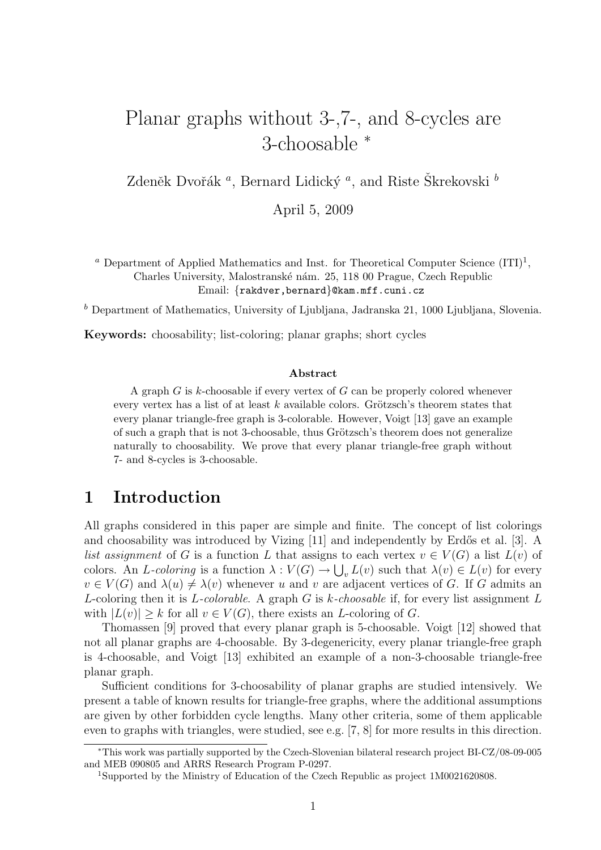# Planar graphs without 3-,7-, and 8-cycles are 3-choosable <sup>∗</sup>

Zdeněk Dvořák $^a$ , Bernard Lidický $^a$  , and Riste Škrekovski  $^b$ 

April 5, 2009

<sup>*a*</sup> Department of Applied Mathematics and Inst. for Theoretical Computer Science  $(ITI)^1$ , Charles University, Malostranské nám. 25, 118 00 Prague, Czech Republic Email: {rakdver,bernard}@kam.mff.cuni.cz

 $<sup>b</sup>$  Department of Mathematics, University of Ljubljana, Jadranska 21, 1000 Ljubljana, Slovenia.</sup>

Keywords: choosability; list-coloring; planar graphs; short cycles

#### Abstract

A graph  $G$  is  $k$ -choosable if every vertex of  $G$  can be properly colored whenever every vertex has a list of at least  $k$  available colors. Grötzsch's theorem states that every planar triangle-free graph is 3-colorable. However, Voigt [13] gave an example of such a graph that is not 3-choosable, thus Grötzsch's theorem does not generalize naturally to choosability. We prove that every planar triangle-free graph without 7- and 8-cycles is 3-choosable.

## 1 Introduction

All graphs considered in this paper are simple and finite. The concept of list colorings and choosability was introduced by Vizing  $[11]$  and independently by Erdős et al. [3]. A list assignment of G is a function L that assigns to each vertex  $v \in V(G)$  a list  $L(v)$  of colors. An L-coloring is a function  $\lambda: V(G) \to \bigcup_{v} L(v)$  such that  $\lambda(v) \in L(v)$  for every  $v \in V(G)$  and  $\lambda(u) \neq \lambda(v)$  whenever u and v are adjacent vertices of G. If G admits an L-coloring then it is L-colorable. A graph G is k-choosable if, for every list assignment L with  $|L(v)| \geq k$  for all  $v \in V(G)$ , there exists an *L*-coloring of *G*.

Thomassen [9] proved that every planar graph is 5-choosable. Voigt [12] showed that not all planar graphs are 4-choosable. By 3-degenericity, every planar triangle-free graph is 4-choosable, and Voigt [13] exhibited an example of a non-3-choosable triangle-free planar graph.

Sufficient conditions for 3-choosability of planar graphs are studied intensively. We present a table of known results for triangle-free graphs, where the additional assumptions are given by other forbidden cycle lengths. Many other criteria, some of them applicable even to graphs with triangles, were studied, see e.g. [7, 8] for more results in this direction.

<sup>∗</sup>This work was partially supported by the Czech-Slovenian bilateral research project BI-CZ/08-09-005 and MEB 090805 and ARRS Research Program P-0297.

<sup>1</sup>Supported by the Ministry of Education of the Czech Republic as project 1M0021620808.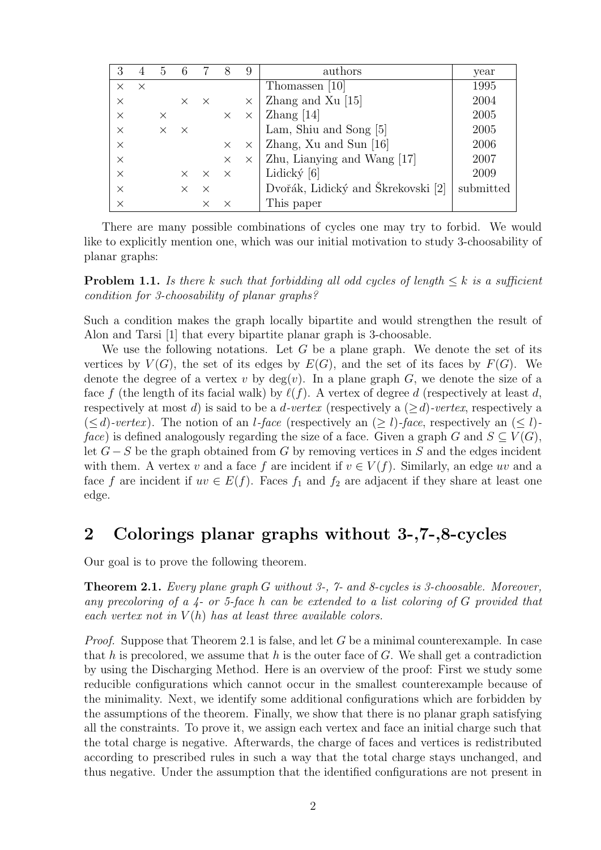|          |          | 5        | 6        |          | 8        | 9        | authors                            | year      |
|----------|----------|----------|----------|----------|----------|----------|------------------------------------|-----------|
| $\times$ | $\times$ |          |          |          |          |          | Thomassen [10]                     | 1995      |
| $\times$ |          |          |          | $\times$ |          | $\times$ | Zhang and Xu $[15]$                | 2004      |
| $\times$ |          | $\times$ |          |          | $\times$ | $\times$ | $\chi$ hang [14]                   | 2005      |
| $\times$ |          | $\times$ | X        |          |          |          | Lam, Shiu and Song [5]             | 2005      |
| $\times$ |          |          |          |          | $\times$ | $\times$ | Zhang, Xu and Sun [16]             | 2006      |
| $\times$ |          |          |          |          | $\times$ | $\times$ | Zhu, Lianying and Wang [17]        | 2007      |
| $\times$ |          |          | $\times$ | $\times$ | $\times$ |          | Lidický $[6]$                      | 2009      |
| $\times$ |          |          |          | $\times$ |          |          | Dvořák, Lidický and Škrekovski [2] | submitted |
| $\times$ |          |          |          |          |          |          | This paper                         |           |

There are many possible combinations of cycles one may try to forbid. We would like to explicitly mention one, which was our initial motivation to study 3-choosability of planar graphs:

**Problem 1.1.** Is there k such that forbidding all odd cycles of length  $\leq k$  is a sufficient condition for 3-choosability of planar graphs?

Such a condition makes the graph locally bipartite and would strengthen the result of Alon and Tarsi [1] that every bipartite planar graph is 3-choosable.

We use the following notations. Let  $G$  be a plane graph. We denote the set of its vertices by  $V(G)$ , the set of its edges by  $E(G)$ , and the set of its faces by  $F(G)$ . We denote the degree of a vertex v by  $deg(v)$ . In a plane graph G, we denote the size of a face f (the length of its facial walk) by  $\ell(f)$ . A vertex of degree d (respectively at least d, respectively at most d) is said to be a *d-vertex* (respectively a  $(>d)$ -vertex, respectively a  $(\leq d)$ -vertex). The notion of an *l*-face (respectively an  $(\geq l)$ -face, respectively an  $(\leq l)$ face) is defined analogously regarding the size of a face. Given a graph G and  $S \subseteq V(G)$ , let  $G-S$  be the graph obtained from G by removing vertices in S and the edges incident with them. A vertex v and a face f are incident if  $v \in V(f)$ . Similarly, an edge uv and a face f are incident if  $uv \in E(f)$ . Faces  $f_1$  and  $f_2$  are adjacent if they share at least one edge.

## 2 Colorings planar graphs without 3-,7-,8-cycles

Our goal is to prove the following theorem.

**Theorem 2.1.** Every plane graph G without 3-, 7- and 8-cycles is 3-choosable. Moreover, any precoloring of a 4- or 5-face h can be extended to a list coloring of G provided that each vertex not in  $V(h)$  has at least three available colors.

*Proof.* Suppose that Theorem 2.1 is false, and let G be a minimal counterexample. In case that h is precolored, we assume that h is the outer face of  $G$ . We shall get a contradiction by using the Discharging Method. Here is an overview of the proof: First we study some reducible configurations which cannot occur in the smallest counterexample because of the minimality. Next, we identify some additional configurations which are forbidden by the assumptions of the theorem. Finally, we show that there is no planar graph satisfying all the constraints. To prove it, we assign each vertex and face an initial charge such that the total charge is negative. Afterwards, the charge of faces and vertices is redistributed according to prescribed rules in such a way that the total charge stays unchanged, and thus negative. Under the assumption that the identified configurations are not present in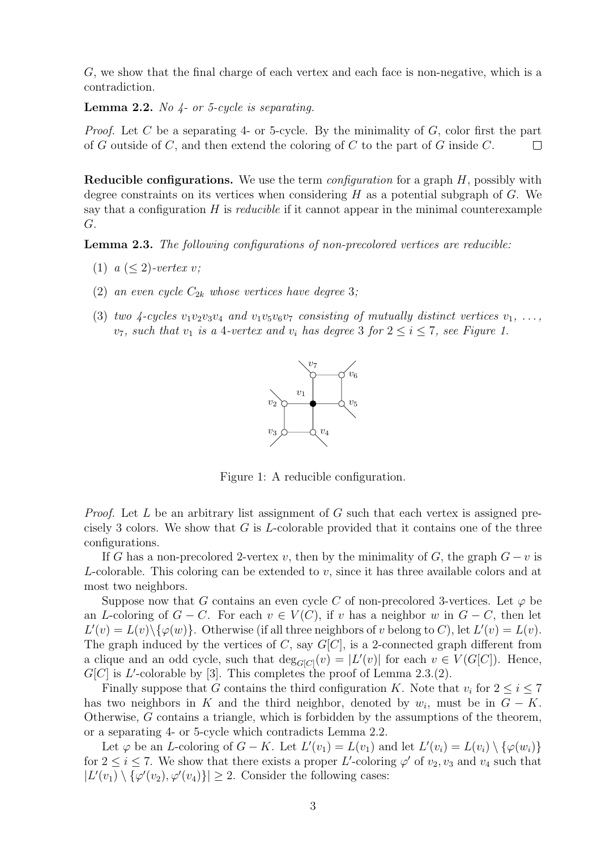G, we show that the final charge of each vertex and each face is non-negative, which is a contradiction.

**Lemma 2.2.** No  $\mu$ - or 5-cycle is separating.

*Proof.* Let C be a separating 4- or 5-cycle. By the minimality of  $G$ , color first the part of G outside of C, and then extend the coloring of C to the part of G inside  $C$ .  $\Box$ 

**Reducible configurations.** We use the term *configuration* for a graph  $H$ , possibly with degree constraints on its vertices when considering  $H$  as a potential subgraph of  $G$ . We say that a configuration  $H$  is *reducible* if it cannot appear in the minimal counterexample G.

Lemma 2.3. The following configurations of non-precolored vertices are reducible:

- (1)  $a \leq 2$ )-vertex v;
- (2) an even cycle  $C_{2k}$  whose vertices have degree 3;
- (3) two 4-cycles  $v_1v_2v_3v_4$  and  $v_1v_5v_6v_7$  consisting of mutually distinct vertices  $v_1, \ldots,$  $v_7$ , such that  $v_1$  is a 4-vertex and  $v_i$  has degree 3 for  $2 \leq i \leq 7$ , see Figure 1.



Figure 1: A reducible configuration.

*Proof.* Let  $L$  be an arbitrary list assignment of  $G$  such that each vertex is assigned precisely 3 colors. We show that  $G$  is  $L$ -colorable provided that it contains one of the three configurations.

If G has a non-precolored 2-vertex v, then by the minimality of G, the graph  $G - v$  is L-colorable. This coloring can be extended to  $v$ , since it has three available colors and at most two neighbors.

Suppose now that G contains an even cycle C of non-precolored 3-vertices. Let  $\varphi$  be an L-coloring of  $G - C$ . For each  $v \in V(C)$ , if v has a neighbor w in  $G - C$ , then let  $L'(v) = L(v) \setminus {\varphi(w)}$ . Otherwise (if all three neighbors of v belong to C), let  $L'(v) = L(v)$ . The graph induced by the vertices of  $C$ , say  $G[C]$ , is a 2-connected graph different from a clique and an odd cycle, such that  $deg_{G[C]}(v) = |L'(v)|$  for each  $v \in V(G[C])$ . Hence,  $G[C]$  is L'-colorable by [3]. This completes the proof of Lemma 2.3.(2).

Finally suppose that G contains the third configuration K. Note that  $v_i$  for  $2 \leq i \leq 7$ has two neighbors in K and the third neighbor, denoted by  $w_i$ , must be in  $G - K$ . Otherwise, G contains a triangle, which is forbidden by the assumptions of the theorem, or a separating 4- or 5-cycle which contradicts Lemma 2.2.

Let  $\varphi$  be an *L*-coloring of  $G - K$ . Let  $L'(v_1) = L(v_1)$  and let  $L'(v_i) = L(v_i) \setminus {\varphi(w_i)}$ for  $2 \le i \le 7$ . We show that there exists a proper L'-coloring  $\varphi'$  of  $v_2, v_3$  and  $v_4$  such that  $|L'(v_1) \setminus {\varphi'(v_2), \varphi'(v_4)}| \geq 2$ . Consider the following cases: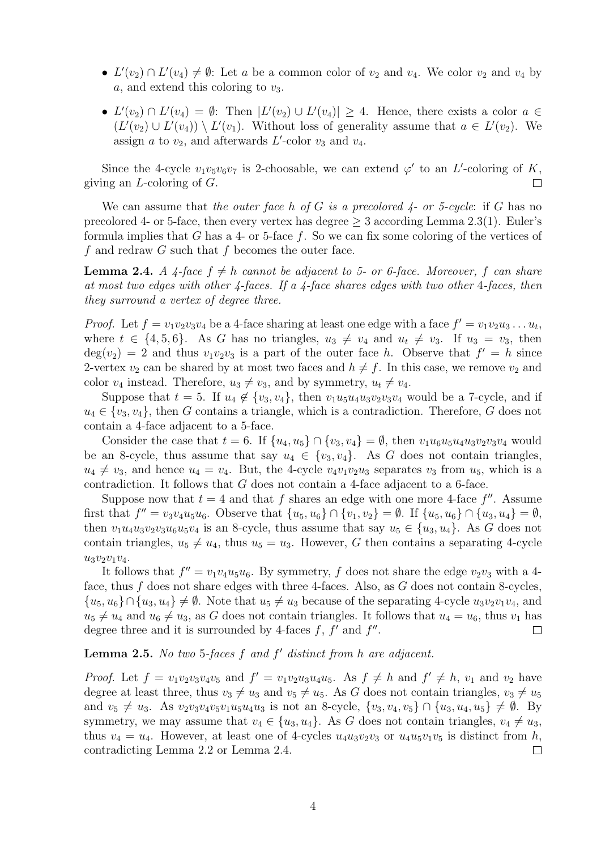- $L'(v_2) \cap L'(v_4) \neq \emptyset$ : Let a be a common color of  $v_2$  and  $v_4$ . We color  $v_2$  and  $v_4$  by a, and extend this coloring to  $v_3$ .
- $L'(v_2) \cap L'(v_4) = \emptyset$ : Then  $|L'(v_2) \cup L'(v_4)| \geq 4$ . Hence, there exists a color  $a \in$  $(L'(v_2) \cup L'(v_4)) \setminus L'(v_1)$ . Without loss of generality assume that  $a \in L'(v_2)$ . We assign  $a$  to  $v_2$ , and afterwards  $L'$ -color  $v_3$  and  $v_4$ .

Since the 4-cycle  $v_1v_5v_6v_7$  is 2-choosable, we can extend  $\varphi'$  to an L'-coloring of K, giving an  $L$ -coloring of  $G$ .  $\Box$ 

We can assume that the outer face h of G is a precolored  $\mu$ - or 5-cycle: if G has no precolored 4- or 5-face, then every vertex has degree  $\geq 3$  according Lemma 2.3(1). Euler's formula implies that G has a 4- or 5-face  $f$ . So we can fix some coloring of the vertices of f and redraw  $G$  such that f becomes the outer face.

**Lemma 2.4.** A 4-face  $f \neq h$  cannot be adjacent to 5- or 6-face. Moreover, f can share at most two edges with other  $\frac{1}{4}$ -faces. If a  $\frac{1}{4}$ -face shares edges with two other 4-faces, then they surround a vertex of degree three.

*Proof.* Let  $f = v_1v_2v_3v_4$  be a 4-face sharing at least one edge with a face  $f' = v_1v_2u_3 \dots u_t$ , where  $t \in \{4, 5, 6\}$ . As G has no triangles,  $u_3 \neq v_4$  and  $u_t \neq v_3$ . If  $u_3 = v_3$ , then  $deg(v_2) = 2$  and thus  $v_1v_2v_3$  is a part of the outer face h. Observe that  $f' = h$  since 2-vertex  $v_2$  can be shared by at most two faces and  $h \neq f$ . In this case, we remove  $v_2$  and color  $v_4$  instead. Therefore,  $u_3 \neq v_3$ , and by symmetry,  $u_t \neq v_4$ .

Suppose that  $t = 5$ . If  $u_4 \notin \{v_3, v_4\}$ , then  $v_1u_5u_4u_3v_2v_3v_4$  would be a 7-cycle, and if  $u_4 \in \{v_3, v_4\}$ , then G contains a triangle, which is a contradiction. Therefore, G does not contain a 4-face adjacent to a 5-face.

Consider the case that  $t = 6$ . If  $\{u_4, u_5\} \cap \{v_3, v_4\} = \emptyset$ , then  $v_1u_6u_5u_4u_3v_2v_3v_4$  would be an 8-cycle, thus assume that say  $u_4 \in \{v_3, v_4\}$ . As G does not contain triangles,  $u_4 \neq v_3$ , and hence  $u_4 = v_4$ . But, the 4-cycle  $v_4v_1v_2u_3$  separates  $v_3$  from  $u_5$ , which is a contradiction. It follows that G does not contain a 4-face adjacent to a 6-face.

Suppose now that  $t = 4$  and that f shares an edge with one more 4-face f''. Assume first that  $f'' = v_3v_4u_5u_6$ . Observe that  $\{u_5, u_6\} \cap \{v_1, v_2\} = \emptyset$ . If  $\{u_5, u_6\} \cap \{u_3, u_4\} = \emptyset$ , then  $v_1u_4u_3v_2v_3u_6u_5v_4$  is an 8-cycle, thus assume that say  $u_5 \in \{u_3, u_4\}$ . As G does not contain triangles,  $u_5 \neq u_4$ , thus  $u_5 = u_3$ . However, G then contains a separating 4-cycle  $u_3v_2v_1v_4.$ 

It follows that  $f'' = v_1v_4u_5u_6$ . By symmetry, f does not share the edge  $v_2v_3$  with a 4face, thus f does not share edges with three 4-faces. Also, as  $G$  does not contain 8-cycles,  ${u_5, u_6} \cap {u_3, u_4} \neq \emptyset$ . Note that  $u_5 \neq u_3$  because of the separating 4-cycle  $u_3v_2v_1v_4$ , and  $u_5 \neq u_4$  and  $u_6 \neq u_3$ , as G does not contain triangles. It follows that  $u_4 = u_6$ , thus  $v_1$  has degree three and it is surrounded by 4-faces  $f, f'$  and  $f''$ .  $\Box$ 

### **Lemma 2.5.** No two 5-faces  $f$  and  $f'$  distinct from  $h$  are adjacent.

*Proof.* Let  $f = v_1v_2v_3v_4v_5$  and  $f' = v_1v_2u_3u_4u_5$ . As  $f \neq h$  and  $f' \neq h$ ,  $v_1$  and  $v_2$  have degree at least three, thus  $v_3 \neq u_3$  and  $v_5 \neq u_5$ . As G does not contain triangles,  $v_3 \neq u_5$ and  $v_5 \neq u_3$ . As  $v_2v_3v_4v_5v_1u_5u_4u_3$  is not an 8-cycle,  $\{v_3, v_4, v_5\} \cap \{u_3, u_4, u_5\} \neq \emptyset$ . By symmetry, we may assume that  $v_4 \in \{u_3, u_4\}$ . As G does not contain triangles,  $v_4 \neq u_3$ , thus  $v_4 = u_4$ . However, at least one of 4-cycles  $u_4u_3v_2v_3$  or  $u_4u_5v_1v_5$  is distinct from h, contradicting Lemma 2.2 or Lemma 2.4.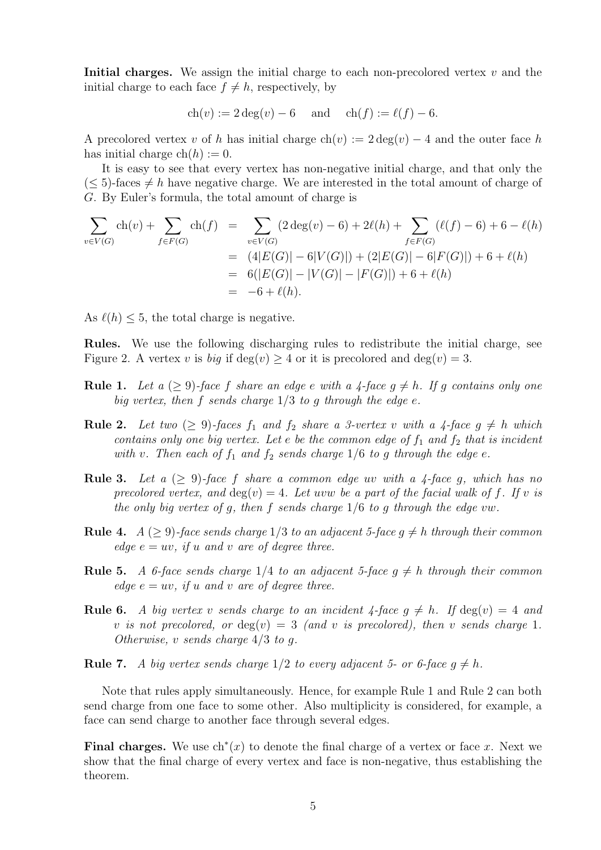Initial charges. We assign the initial charge to each non-precolored vertex  $v$  and the initial charge to each face  $f \neq h$ , respectively, by

$$
ch(v) := 2 deg(v) - 6
$$
 and  $ch(f) := \ell(f) - 6$ .

A precolored vertex v of h has initial charge  $ch(v) := 2 \deg(v) - 4$  and the outer face h has initial charge  $ch(h) := 0$ .

It is easy to see that every vertex has non-negative initial charge, and that only the  $(< 5$ )-faces  $\neq h$  have negative charge. We are interested in the total amount of charge of G. By Euler's formula, the total amount of charge is

$$
\sum_{v \in V(G)} ch(v) + \sum_{f \in F(G)} ch(f) = \sum_{v \in V(G)} (2 \deg(v) - 6) + 2\ell(h) + \sum_{f \in F(G)} (\ell(f) - 6) + 6 - \ell(h)
$$
  
=  $(4|E(G)| - 6|V(G)|) + (2|E(G)| - 6|F(G)|) + 6 + \ell(h)$   
=  $6(|E(G)| - |V(G)| - |F(G)|) + 6 + \ell(h)$   
=  $-6 + \ell(h).$ 

As  $\ell(h) \leq 5$ , the total charge is negative.

Rules. We use the following discharging rules to redistribute the initial charge, see Figure 2. A vertex v is big if  $\deg(v) \geq 4$  or it is precolored and  $\deg(v) = 3$ .

- **Rule 1.** Let a  $(\geq 9)$ -face f share an edge e with a 4-face  $g \neq h$ . If g contains only one big vertex, then f sends charge  $1/3$  to g through the edge e.
- **Rule 2.** Let two  $(\geq 9)$ -faces  $f_1$  and  $f_2$  share a 3-vertex v with a 4-face  $g \neq h$  which contains only one big vertex. Let e be the common edge of  $f_1$  and  $f_2$  that is incident with v. Then each of  $f_1$  and  $f_2$  sends charge 1/6 to g through the edge e.
- **Rule 3.** Let a  $(\geq 9)$ -face f share a common edge uv with a 4-face g, which has no precolored vertex, and  $deg(v) = 4$ . Let uvw be a part of the facial walk of f. If v is the only big vertex of g, then f sends charge  $1/6$  to g through the edge vw.
- **Rule 4.**  $A \geq 9$ -face sends charge 1/3 to an adjacent 5-face  $g \neq h$  through their common edge  $e = uv$ , if u and v are of degree three.
- **Rule 5.** A 6-face sends charge  $1/4$  to an adjacent 5-face  $g \neq h$  through their common edge  $e = uv$ , if u and v are of degree three.
- **Rule 6.** A big vertex v sends charge to an incident  $\frac{1}{4}$ -face  $g \neq h$ . If  $\deg(v) = 4$  and v is not precolored, or  $deg(v) = 3$  (and v is precolored), then v sends charge 1. Otherwise, v sends charge  $4/3$  to q.

**Rule 7.** A big vertex sends charge  $1/2$  to every adjacent 5- or 6-face  $g \neq h$ .

Note that rules apply simultaneously. Hence, for example Rule 1 and Rule 2 can both send charge from one face to some other. Also multiplicity is considered, for example, a face can send charge to another face through several edges.

Final charges. We use  $\text{ch}^*(x)$  to denote the final charge of a vertex or face x. Next we show that the final charge of every vertex and face is non-negative, thus establishing the theorem.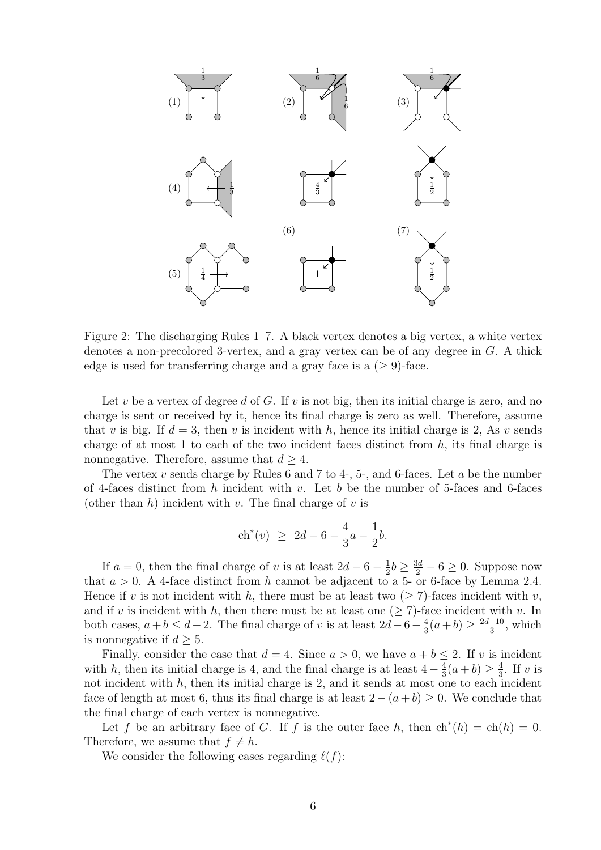

Figure 2: The discharging Rules 1–7. A black vertex denotes a big vertex, a white vertex denotes a non-precolored 3-vertex, and a gray vertex can be of any degree in G. A thick edge is used for transferring charge and a gray face is a  $(≥ 9)$ -face.

Let v be a vertex of degree d of G. If v is not big, then its initial charge is zero, and no charge is sent or received by it, hence its final charge is zero as well. Therefore, assume that v is big. If  $d = 3$ , then v is incident with h, hence its initial charge is 2, As v sends charge of at most 1 to each of the two incident faces distinct from  $h$ , its final charge is nonnegative. Therefore, assume that  $d \geq 4$ .

The vertex v sends charge by Rules 6 and 7 to 4-, 5-, and 6-faces. Let a be the number of 4-faces distinct from h incident with v. Let b be the number of 5-faces and 6-faces (other than  $h$ ) incident with v. The final charge of v is

$$
\operatorname{ch}^*(v) \ \ge \ 2d - 6 - \frac{4}{3}a - \frac{1}{2}b.
$$

If  $a = 0$ , then the final charge of v is at least  $2d - 6 - \frac{1}{2}$  $\frac{1}{2}b \geq \frac{3d}{2} - 6 \geq 0$ . Suppose now that  $a > 0$ . A 4-face distinct from h cannot be adjacent to a 5- or 6-face by Lemma 2.4. Hence if v is not incident with h, there must be at least two  $(\geq 7)$ -faces incident with v, and if v is incident with h, then there must be at least one  $(\geq 7)$ -face incident with v. In both cases,  $a+b \leq d-2$ . The final charge of v is at least  $2d-6-\frac{4}{3}$  $\frac{4}{3}(a+b) \geq \frac{2d-10}{3}$  $\frac{-10}{3}$ , which is nonnegative if  $d \geq 5$ .

Finally, consider the case that  $d = 4$ . Since  $a > 0$ , we have  $a + b \leq 2$ . If v is incident with h, then its initial charge is 4, and the final charge is at least  $4-\frac{4}{3}$  $\frac{4}{3}(a+b) \geq \frac{4}{3}$  $\frac{4}{3}$ . If v is not incident with  $h$ , then its initial charge is 2, and it sends at most one to each incident face of length at most 6, thus its final charge is at least  $2 - (a + b) \geq 0$ . We conclude that the final charge of each vertex is nonnegative.

Let f be an arbitrary face of G. If f is the outer face h, then  $\mathrm{ch}^*(h) = \mathrm{ch}(h) = 0$ . Therefore, we assume that  $f \neq h$ .

We consider the following cases regarding  $\ell(f)$ :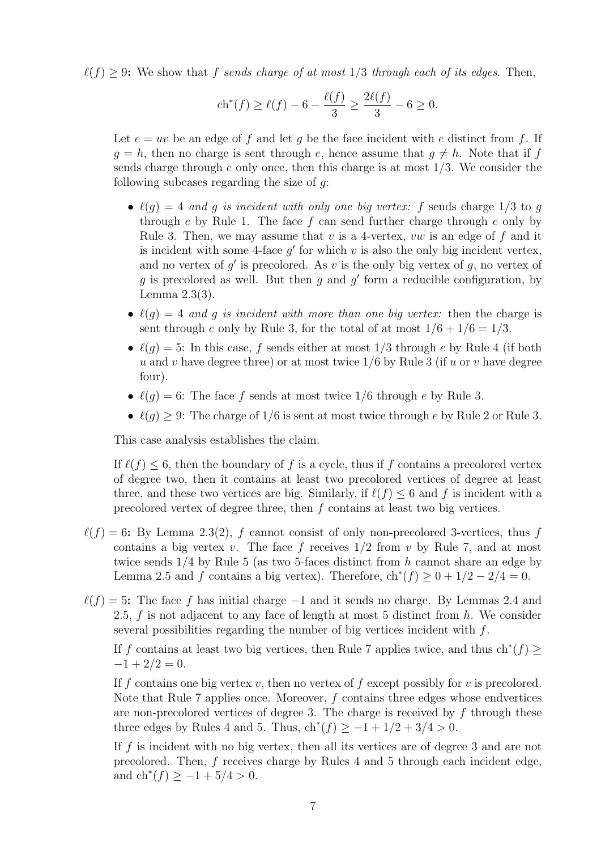$\ell(f) > 9$ : We show that f sends charge of at most 1/3 through each of its edges. Then,

$$
\text{ch}^*(f) \ge \ell(f) - 6 - \frac{\ell(f)}{3} \ge \frac{2\ell(f)}{3} - 6 \ge 0.
$$

Let  $e = uv$  be an edge of f and let q be the face incident with e distinct from f. If  $q = h$ , then no charge is sent through e, hence assume that  $q \neq h$ . Note that if f sends charge through e only once, then this charge is at most  $1/3$ . We consider the following subcases regarding the size of  $q$ :

- $\ell(q) = 4$  and g is incident with only one big vertex: f sends charge 1/3 to g through e by Rule 1. The face  $f$  can send further charge through  $e$  only by Rule 3. Then, we may assume that v is a 4-vertex, vw is an edge of f and it is incident with some 4-face  $g'$  for which  $v$  is also the only big incident vertex, and no vertex of  $g'$  is precolored. As v is the only big vertex of  $g$ , no vertex of  $g$  is precolored as well. But then  $g$  and  $g'$  form a reducible configuration, by Lemma 2.3(3).
- $\ell(q) = 4$  and q is incident with more than one big vertex: then the charge is sent through e only by Rule 3, for the total of at most  $1/6 + 1/6 = 1/3$ .
- $\ell(q) = 5$ : In this case, f sends either at most 1/3 through e by Rule 4 (if both u and v have degree three) or at most twice  $1/6$  by Rule 3 (if u or v have degree four).
- $\ell(q) = 6$ : The face f sends at most twice 1/6 through e by Rule 3.
- $\ell(q) > 9$ : The charge of 1/6 is sent at most twice through e by Rule 2 or Rule 3.

This case analysis establishes the claim.

If  $\ell(f) \leq 6$ , then the boundary of f is a cycle, thus if f contains a precolored vertex of degree two, then it contains at least two precolored vertices of degree at least three, and these two vertices are big. Similarly, if  $\ell(f) \leq 6$  and f is incident with a precolored vertex of degree three, then f contains at least two big vertices.

- $\ell(f) = 6$ : By Lemma 2.3(2), f cannot consist of only non-precolored 3-vertices, thus f contains a big vertex v. The face f receives  $1/2$  from v by Rule 7, and at most twice sends  $1/4$  by Rule 5 (as two 5-faces distinct from h cannot share an edge by Lemma 2.5 and f contains a big vertex). Therefore,  $\text{ch}^*(f) \geq 0 + 1/2 - 2/4 = 0$ .
- $\ell(f) = 5$ : The face f has initial charge  $-1$  and it sends no charge. By Lemmas 2.4 and 2.5, f is not adjacent to any face of length at most 5 distinct from  $h$ . We consider several possibilities regarding the number of big vertices incident with f.

If f contains at least two big vertices, then Rule 7 applies twice, and thus  $\text{ch}^*(f) \geq$  $-1 + 2/2 = 0.$ 

If f contains one big vertex v, then no vertex of f except possibly for v is precolored. Note that Rule 7 applies once. Moreover,  $f$  contains three edges whose endvertices are non-precolored vertices of degree 3. The charge is received by f through these three edges by Rules 4 and 5. Thus,  $\text{ch}^*(f) \geq -1 + 1/2 + 3/4 > 0$ .

If f is incident with no big vertex, then all its vertices are of degree 3 and are not precolored. Then, f receives charge by Rules 4 and 5 through each incident edge, and  $\text{ch}^*(f) \geq -1 + 5/4 > 0$ .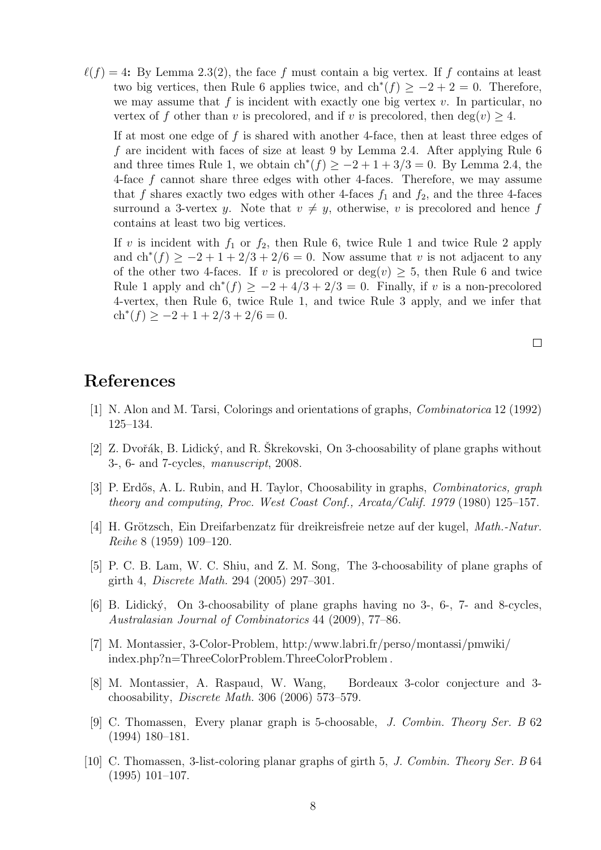$\ell(f) = 4$ : By Lemma 2.3(2), the face f must contain a big vertex. If f contains at least two big vertices, then Rule 6 applies twice, and  $\text{ch}^*(f) \geq -2 + 2 = 0$ . Therefore, we may assume that f is incident with exactly one big vertex  $v$ . In particular, no vertex of f other than v is precolored, and if v is precolored, then deg(v)  $\geq 4$ .

If at most one edge of f is shared with another 4-face, then at least three edges of f are incident with faces of size at least 9 by Lemma 2.4. After applying Rule 6 and three times Rule 1, we obtain  $\text{ch}^*(f) \geq -2 + 1 + 3/3 = 0$ . By Lemma 2.4, the 4-face f cannot share three edges with other 4-faces. Therefore, we may assume that f shares exactly two edges with other 4-faces  $f_1$  and  $f_2$ , and the three 4-faces surround a 3-vertex y. Note that  $v \neq y$ , otherwise, v is precolored and hence f contains at least two big vertices.

If v is incident with  $f_1$  or  $f_2$ , then Rule 6, twice Rule 1 and twice Rule 2 apply and  $\text{ch}^*(f) \geq -2 + 1 + 2/3 + 2/6 = 0$ . Now assume that v is not adjacent to any of the other two 4-faces. If v is precolored or  $deg(v) > 5$ , then Rule 6 and twice Rule 1 apply and  $\text{ch}^*(f) \geq -2 + 4/3 + 2/3 = 0$ . Finally, if v is a non-precolored 4-vertex, then Rule 6, twice Rule 1, and twice Rule 3 apply, and we infer that  $\operatorname{ch}^*(f) \ge -2 + 1 + 2/3 + 2/6 = 0.$ 

 $\Box$ 

## References

- [1] N. Alon and M. Tarsi, Colorings and orientations of graphs, Combinatorica 12 (1992) 125–134.
- [2] Z. Dvořák, B. Lidický, and R. Škrekovski, On 3-choosability of plane graphs without 3-, 6- and 7-cycles, manuscript, 2008.
- [3] P. Erdős, A. L. Rubin, and H. Taylor, Choosability in graphs, *Combinatorics, graph* theory and computing, Proc. West Coast Conf., Arcata/Calif. 1979 (1980) 125–157.
- [4] H. Grötzsch, Ein Dreifarbenzatz für dreikreisfreie netze auf der kugel, Math.-Natur. Reihe 8 (1959) 109–120.
- [5] P. C. B. Lam, W. C. Shiu, and Z. M. Song, The 3-choosability of plane graphs of girth 4, Discrete Math. 294 (2005) 297–301.
- [6] B. Lidick´y, On 3-choosability of plane graphs having no 3-, 6-, 7- and 8-cycles, Australasian Journal of Combinatorics 44 (2009), 77–86.
- [7] M. Montassier, 3-Color-Problem, http:/www.labri.fr/perso/montassi/pmwiki/ index.php?n=ThreeColorProblem.ThreeColorProblem .
- [8] M. Montassier, A. Raspaud, W. Wang, Bordeaux 3-color conjecture and 3 choosability, Discrete Math. 306 (2006) 573–579.
- [9] C. Thomassen, Every planar graph is 5-choosable, J. Combin. Theory Ser. B 62 (1994) 180–181.
- [10] C. Thomassen, 3-list-coloring planar graphs of girth 5, J. Combin. Theory Ser. B 64 (1995) 101–107.